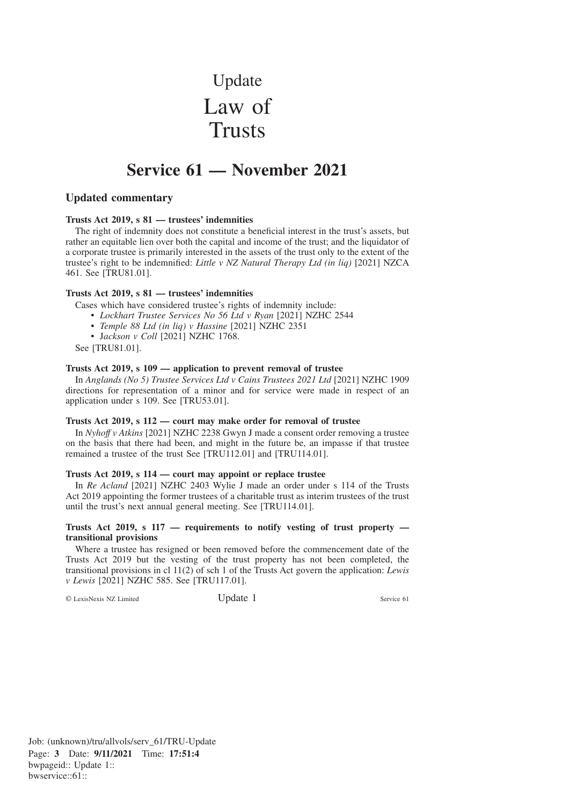# Update Law of **Trusts**

# **Service 61 — November 2021**

# **Updated commentary**

# **Trusts Act 2019, s 81 — trustees' indemnities**

The right of indemnity does not constitute a beneficial interest in the trust's assets, but rather an equitable lien over both the capital and income of the trust; and the liquidator of a corporate trustee is primarily interested in the assets of the trust only to the extent of the trustee's right to be indemnified: *Little v NZ Natural Therapy Ltd (in liq)* [2021] NZCA 461. See [TRU81.01].

# **Trusts Act 2019, s 81 — trustees' indemnities**

Cases which have considered trustee's rights of indemnity include:

- *Lockhart Trustee Services No 56 Ltd v Ryan* [2021] NZHC 2544
	- *Temple 88 Ltd (in liq) v Hassine* [2021] NZHC 2351
	- J*ackson v Coll* [2021] NZHC 1768.

See [TRU81.01].

# **Trusts Act 2019, s 109 — application to prevent removal of trustee**

In *Anglands (No 5) Trustee Services Ltd v Cains Trustees 2021 Ltd* [2021] NZHC 1909 directions for representation of a minor and for service were made in respect of an application under s 109. See [TRU53.01].

# **Trusts Act 2019, s 112 — court may make order for removal of trustee**

In *Nyhoff v Atkins* [2021] NZHC 2238 Gwyn J made a consent order removing a trustee on the basis that there had been, and might in the future be, an impasse if that trustee remained a trustee of the trust See [TRU112.01] and [TRU114.01].

# **Trusts Act 2019, s 114 — court may appoint or replace trustee**

In *Re Acland* [2021] NZHC 2403 Wylie J made an order under s 114 of the Trusts Act 2019 appointing the former trustees of a charitable trust as interim trustees of the trust until the trust's next annual general meeting. See [TRU114.01].

# **Trusts Act 2019, s 117 — requirements to notify vesting of trust property transitional provisions**

Where a trustee has resigned or been removed before the commencement date of the Trusts Act 2019 but the vesting of the trust property has not been completed, the transitional provisions in cl 11(2) of sch 1 of the Trusts Act govern the application: *Lewis v Lewis* [2021] NZHC 585. See [TRU117.01].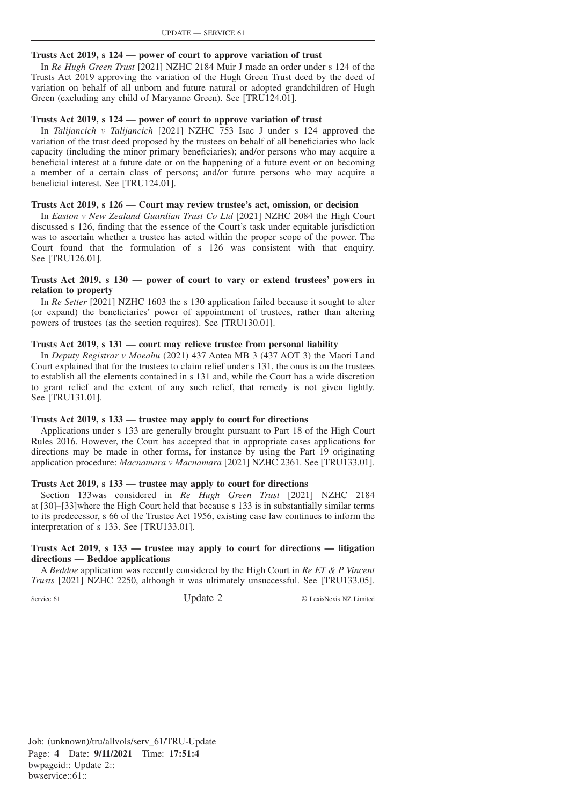# **Trusts Act 2019, s 124 — power of court to approve variation of trust**

In *Re Hugh Green Trust* [2021] NZHC 2184 Muir J made an order under s 124 of the Trusts Act 2019 approving the variation of the Hugh Green Trust deed by the deed of variation on behalf of all unborn and future natural or adopted grandchildren of Hugh Green (excluding any child of Maryanne Green). See [TRU124.01].

# **Trusts Act 2019, s 124 — power of court to approve variation of trust**

In *Talijancich v Talijancich* [2021] NZHC 753 Isac J under s 124 approved the variation of the trust deed proposed by the trustees on behalf of all beneficiaries who lack capacity (including the minor primary beneficiaries); and/or persons who may acquire a beneficial interest at a future date or on the happening of a future event or on becoming a member of a certain class of persons; and/or future persons who may acquire a beneficial interest. See [TRU124.01].

# **Trusts Act 2019, s 126 — Court may review trustee's act, omission, or decision**

In *Easton v New Zealand Guardian Trust Co Ltd* [2021] NZHC 2084 the High Court discussed s 126, finding that the essence of the Court's task under equitable jurisdiction was to ascertain whether a trustee has acted within the proper scope of the power. The Court found that the formulation of s 126 was consistent with that enquiry. See [TRU126.01].

# **Trusts Act 2019, s 130 — power of court to vary or extend trustees' powers in relation to property**

In *Re Setter* [2021] NZHC 1603 the s 130 application failed because it sought to alter (or expand) the beneficiaries' power of appointment of trustees, rather than altering powers of trustees (as the section requires). See [TRU130.01].

# **Trusts Act 2019, s 131 — court may relieve trustee from personal liability**

In *Deputy Registrar v Moeahu* (2021) 437 Aotea MB 3 (437 AOT 3) the Maori Land Court explained that for the trustees to claim relief under s 131, the onus is on the trustees to establish all the elements contained in s 131 and, while the Court has a wide discretion to grant relief and the extent of any such relief, that remedy is not given lightly. See [TRU131.01].

# **Trusts Act 2019, s 133 — trustee may apply to court for directions**

Applications under s 133 are generally brought pursuant to Part 18 of the High Court Rules 2016. However, the Court has accepted that in appropriate cases applications for directions may be made in other forms, for instance by using the Part 19 originating application procedure: *Macnamara v Macnamara* [2021] NZHC 2361. See [TRU133.01].

# **Trusts Act 2019, s 133 — trustee may apply to court for directions**

Section 133was considered in *Re Hugh Green Trust* [2021] NZHC 2184 at [30]–[33]where the High Court held that because s 133 is in substantially similar terms to its predecessor, s 66 of the Trustee Act 1956, existing case law continues to inform the interpretation of s 133. See [TRU133.01].

# **Trusts Act 2019, s 133 — trustee may apply to court for directions — litigation directions — Beddoe applications**

A *Beddoe* application was recently considered by the High Court in *Re ET & P Vincent Trusts* [2021] NZHC 2250, although it was ultimately unsuccessful. See [TRU133.05].